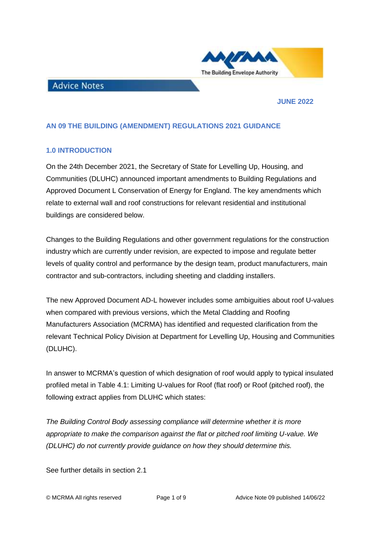

#### **JUNE 2022**

## **AN 09 THE BUILDING (AMENDMENT) REGULATIONS 2021 GUIDANCE**

## **1.0 INTRODUCTION**

**Advice Notes** 

On the 24th December 2021, the Secretary of State for Levelling Up, Housing, and Communities (DLUHC) announced important amendments to Building Regulations and Approved Document L Conservation of Energy for England. The key amendments which relate to external wall and roof constructions for relevant residential and institutional buildings are considered below.

Changes to the Building Regulations and other government regulations for the construction industry which are currently under revision, are expected to impose and regulate better levels of quality control and performance by the design team, product manufacturers, main contractor and sub-contractors, including sheeting and cladding installers.

The new Approved Document AD-L however includes some ambiguities about roof U-values when compared with previous versions, which the Metal Cladding and Roofing Manufacturers Association (MCRMA) has identified and requested clarification from the relevant Technical Policy Division at Department for Levelling Up, Housing and Communities (DLUHC).

In answer to MCRMA's question of which designation of roof would apply to typical insulated profiled metal in Table 4.1: Limiting U-values for Roof (flat roof) or Roof (pitched roof), the following extract applies from DLUHC which states:

*The Building Control Body assessing compliance will determine whether it is more appropriate to make the comparison against the flat or pitched roof limiting U-value. We (DLUHC) do not currently provide guidance on how they should determine this.*

See further details in section 2.1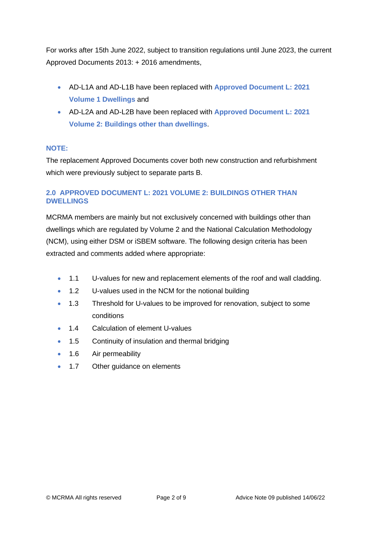For works after 15th June 2022, subject to transition regulations until June 2023, the current Approved Documents 2013: + 2016 amendments,

- AD-L1A and AD-L1B have been replaced with **Approved Document L: 2021 Volume 1 Dwellings** and
- AD-L2A and AD-L2B have been replaced with **Approved Document L: 2021 Volume 2: Buildings other than dwellings**.

## **NOTE:**

The replacement Approved Documents cover both new construction and refurbishment which were previously subject to separate parts B.

# **2.0 APPROVED DOCUMENT L: 2021 VOLUME 2: BUILDINGS OTHER THAN DWELLINGS**

MCRMA members are mainly but not exclusively concerned with buildings other than dwellings which are regulated by Volume 2 and the National Calculation Methodology (NCM), using either DSM or iSBEM software. The following design criteria has been extracted and comments added where appropriate:

- 1.1 U-values for new and replacement elements of the roof and wall cladding.
- 1.2 U-values used in the NCM for the notional building
- 1.3 Threshold for U-values to be improved for renovation, subject to some conditions
- 1.4 Calculation of element U-values
- 1.5 Continuity of insulation and thermal bridging
- 1.6 Air permeability
- 1.7 Other guidance on elements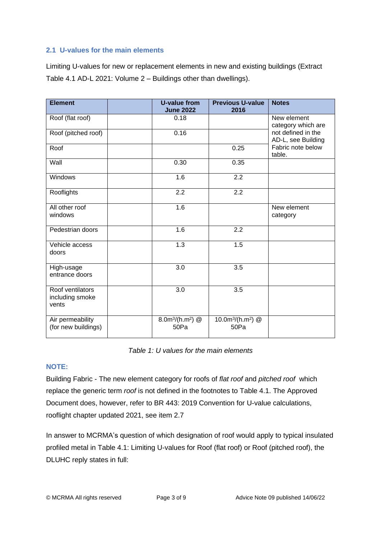# **2.1 U-values for the main elements**

Limiting U-values for new or replacement elements in new and existing buildings (Extract Table 4.1 AD-L 2021: Volume 2 – Buildings other than dwellings).

| <b>Element</b>                               | <b>U-value from</b><br><b>June 2022</b>            | <b>Previous U-value</b><br>2016                   | <b>Notes</b>                             |
|----------------------------------------------|----------------------------------------------------|---------------------------------------------------|------------------------------------------|
| Roof (flat roof)                             | 0.18                                               |                                                   | New element<br>category which are        |
| Roof (pitched roof)                          | 0.16                                               |                                                   | not defined in the<br>AD-L, see Building |
| Roof                                         |                                                    | 0.25                                              | Fabric note below<br>table.              |
| Wall                                         | 0.30                                               | 0.35                                              |                                          |
| Windows                                      | 1.6                                                | 2.2                                               |                                          |
| Rooflights                                   | 2.2                                                | 2.2                                               |                                          |
| All other roof<br>windows                    | 1.6                                                |                                                   | New element<br>category                  |
| Pedestrian doors                             | 1.6                                                | 2.2                                               |                                          |
| Vehicle access<br>doors                      | 1.3                                                | 1.5                                               |                                          |
| High-usage<br>entrance doors                 | 3.0                                                | 3.5                                               |                                          |
| Roof ventilators<br>including smoke<br>vents | 3.0                                                | 3.5                                               |                                          |
| Air permeability<br>(for new buildings)      | 8.0m <sup>3</sup> /(h.m <sup>2</sup> ) $@$<br>50Pa | 10.0m <sup>3</sup> /(h.m <sup>2</sup> ) @<br>50Pa |                                          |

*Table 1: U values for the main elements*

# **NOTE:**

Building Fabric - The new element category for roofs of *flat roof* and *pitched roof* which replace the generic term *roof* is not defined in the footnotes to Table 4.1. The Approved Document does, however, refer to BR 443: 2019 Convention for U-value calculations, rooflight chapter updated 2021, see item 2.7

In answer to MCRMA's question of which designation of roof would apply to typical insulated profiled metal in Table 4.1: Limiting U-values for Roof (flat roof) or Roof (pitched roof), the DLUHC reply states in full: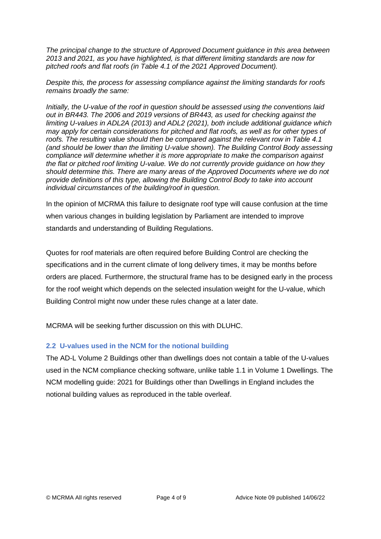*The principal change to the structure of Approved Document guidance in this area between 2013 and 2021, as you have highlighted, is that different limiting standards are now for pitched roofs and flat roofs (in Table 4.1 of the 2021 Approved Document).*

*Despite this, the process for assessing compliance against the limiting standards for roofs remains broadly the same:*

*Initially, the U-value of the roof in question should be assessed using the conventions laid out in BR443. The 2006 and 2019 versions of BR443, as used for checking against the limiting U-values in ADL2A (2013) and ADL2 (2021), both include additional guidance which may apply for certain considerations for pitched and flat roofs, as well as for other types of roofs. The resulting value should then be compared against the relevant row in Table 4.1 (and should be lower than the limiting U-value shown). The Building Control Body assessing compliance will determine whether it is more appropriate to make the comparison against the flat or pitched roof limiting U-value. We do not currently provide guidance on how they should determine this. There are many areas of the Approved Documents where we do not provide definitions of this type, allowing the Building Control Body to take into account individual circumstances of the building/roof in question.*

In the opinion of MCRMA this failure to designate roof type will cause confusion at the time when various changes in building legislation by Parliament are intended to improve standards and understanding of Building Regulations.

Quotes for roof materials are often required before Building Control are checking the specifications and in the current climate of long delivery times, it may be months before orders are placed. Furthermore, the structural frame has to be designed early in the process for the roof weight which depends on the selected insulation weight for the U-value, which Building Control might now under these rules change at a later date.

MCRMA will be seeking further discussion on this with DLUHC.

# **2.2 U-values used in the NCM for the notional building**

The AD-L Volume 2 Buildings other than dwellings does not contain a table of the U-values used in the NCM compliance checking software, unlike table 1.1 in Volume 1 Dwellings. The NCM modelling guide: 2021 for Buildings other than Dwellings in England includes the notional building values as reproduced in the table overleaf.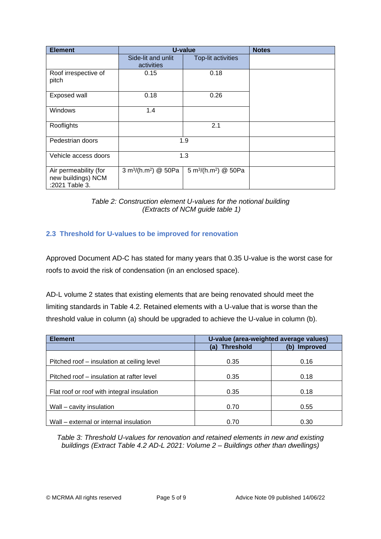| <b>Element</b>                                                | U-value                                      |                                              | <b>Notes</b> |
|---------------------------------------------------------------|----------------------------------------------|----------------------------------------------|--------------|
|                                                               | Side-lit and unlit<br>activities             | <b>Top-lit activities</b>                    |              |
| Roof irrespective of<br>pitch                                 | 0.15                                         | 0.18                                         |              |
| Exposed wall                                                  | 0.18                                         | 0.26                                         |              |
| <b>Windows</b>                                                | 1.4                                          |                                              |              |
| Rooflights                                                    |                                              | 2.1                                          |              |
| Pedestrian doors                                              | 1.9                                          |                                              |              |
| Vehicle access doors                                          | 1.3                                          |                                              |              |
| Air permeability (for<br>new buildings) NCM<br>:2021 Table 3. | 3 m <sup>3</sup> /(h.m <sup>2</sup> ) @ 50Pa | 5 m <sup>3</sup> /(h.m <sup>2</sup> ) @ 50Pa |              |

*Table 2: Construction element U-values for the notional building (Extracts of NCM guide table 1)*

# **2.3 Threshold for U-values to be improved for renovation**

Approved Document AD-C has stated for many years that 0.35 U-value is the worst case for roofs to avoid the risk of condensation (in an enclosed space).

AD-L volume 2 states that existing elements that are being renovated should meet the limiting standards in Table 4.2. Retained elements with a U-value that is worse than the threshold value in column (a) should be upgraded to achieve the U-value in column (b).

| <b>Element</b>                             | U-value (area-weighted average values) |                 |  |
|--------------------------------------------|----------------------------------------|-----------------|--|
|                                            | <b>Threshold</b><br>(a)                | Improved<br>(b) |  |
|                                            |                                        |                 |  |
| Pitched roof – insulation at ceiling level | 0.35                                   | 0.16            |  |
|                                            |                                        |                 |  |
| Pitched roof – insulation at rafter level  | 0.35                                   | 0.18            |  |
|                                            |                                        |                 |  |
| Flat roof or roof with integral insulation | 0.35                                   | 0.18            |  |
|                                            |                                        |                 |  |
| Wall – cavity insulation                   | 0.70                                   | 0.55            |  |
|                                            |                                        |                 |  |
| Wall – external or internal insulation     | 0.70                                   | 0.30            |  |

*Table 3: Threshold U-values for renovation and retained elements in new and existing buildings (Extract Table 4.2 AD-L 2021: Volume 2 – Buildings other than dwellings)*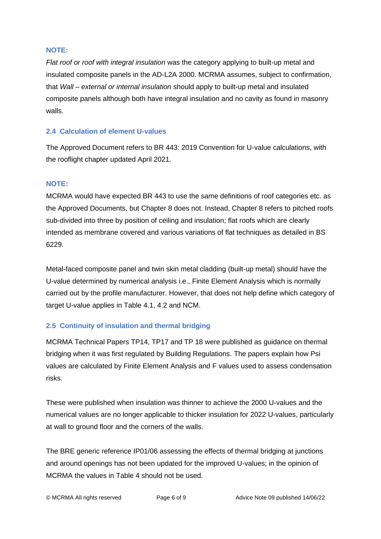## **NOTE:**

*Flat roof or roof with integral insulation* was the category applying to built-up metal and insulated composite panels in the AD-L2A 2000. MCRMA assumes, subject to confirmation, that *Wall – external or internal insulation* should apply to built-up metal and insulated composite panels although both have integral insulation and no cavity as found in masonry walls.

# **2.4 Calculation of element U-values**

The Approved Document refers to BR 443: 2019 Convention for U-value calculations, with the rooflight chapter updated April 2021.

# **NOTE:**

MCRMA would have expected BR 443 to use the same definitions of roof categories etc. as the Approved Documents, but Chapter 8 does not. Instead, Chapter 8 refers to pitched roofs sub-divided into three by position of ceiling and insulation; flat roofs which are clearly intended as membrane covered and various variations of flat techniques as detailed in BS 6229.

Metal-faced composite panel and twin skin metal cladding (built-up metal) should have the U-value determined by numerical analysis i.e., Finite Element Analysis which is normally carried out by the profile manufacturer. However, that does not help define which category of target U-value applies in Table 4.1, 4.2 and NCM.

# **2.5 Continuity of insulation and thermal bridging**

MCRMA Technical Papers TP14, TP17 and TP 18 were published as guidance on thermal bridging when it was first regulated by Building Regulations. The papers explain how Psi values are calculated by Finite Element Analysis and F values used to assess condensation risks.

These were published when insulation was thinner to achieve the 2000 U-values and the numerical values are no longer applicable to thicker insulation for 2022 U-values, particularly at wall to ground floor and the corners of the walls.

The BRE generic reference IP01/06 assessing the effects of thermal bridging at junctions and around openings has not been updated for the improved U-values; in the opinion of MCRMA the values in Table 4 should not be used.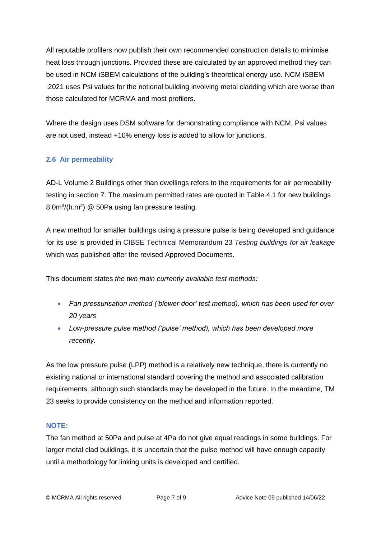All reputable profilers now publish their own recommended construction details to minimise heat loss through junctions. Provided these are calculated by an approved method they can be used in NCM iSBEM calculations of the building's theoretical energy use. NCM iSBEM :2021 uses Psi values for the notional building involving metal cladding which are worse than those calculated for MCRMA and most profilers.

Where the design uses DSM software for demonstrating compliance with NCM, Psi values are not used, instead +10% energy loss is added to allow for junctions.

# **2.6 Air permeability**

AD-L Volume 2 Buildings other than dwellings refers to the requirements for air permeability testing in section 7. The maximum permitted rates are quoted in Table 4.1 for new buildings 8.0m<sup>3</sup>/(h.m<sup>2</sup>) @ 50Pa using fan pressure testing.

A new method for smaller buildings using a pressure pulse is being developed and guidance for its use is provided in CIBSE Technical Memorandum 23 *Testing buildings for air leakage* which was published after the revised Approved Documents.

This document states *the two main currently available test methods:*

- *Fan pressurisation method ('blower door' test method), which has been used for over 20 years*
- *Low-pressure pulse method ('pulse' method), which has been developed more recently.*

As the low pressure pulse (LPP) method is a relatively new technique, there is currently no existing national or international standard covering the method and associated calibration requirements, although such standards may be developed in the future. In the meantime, TM 23 seeks to provide consistency on the method and information reported.

# **NOTE:**

The fan method at 50Pa and pulse at 4Pa do not give equal readings in some buildings. For larger metal clad buildings, it is uncertain that the pulse method will have enough capacity until a methodology for linking units is developed and certified.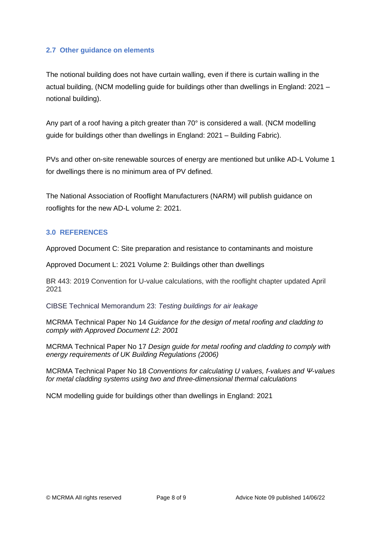## **2.7 Other guidance on elements**

The notional building does not have curtain walling, even if there is curtain walling in the actual building, (NCM modelling guide for buildings other than dwellings in England: 2021 – notional building).

Any part of a roof having a pitch greater than 70° is considered a wall. (NCM modelling guide for buildings other than dwellings in England: 2021 – Building Fabric).

PVs and other on-site renewable sources of energy are mentioned but unlike AD-L Volume 1 for dwellings there is no minimum area of PV defined.

The National Association of Rooflight Manufacturers (NARM) will publish guidance on rooflights for the new AD-L volume 2: 2021.

## **3.0 REFERENCES**

Approved Document C: Site preparation and resistance to contaminants and moisture

Approved Document L: 2021 Volume 2: Buildings other than dwellings

BR 443: 2019 Convention for U-value calculations, with the rooflight chapter updated April 2021

CIBSE Technical Memorandum 23: *Testing buildings for air leakage*

MCRMA Technical Paper No 14 *Guidance for the design of metal roofing and cladding to comply with Approved Document L2: 2001* 

MCRMA Technical Paper No 17 *Design guide for metal roofing and cladding to comply with energy requirements of UK Building Regulations (2006)*

MCRMA Technical Paper No 18 *Conventions for calculating U values, f-values and Ψ-values for metal cladding systems using two and three-dimensional thermal calculations* 

NCM modelling guide for buildings other than dwellings in England: 2021